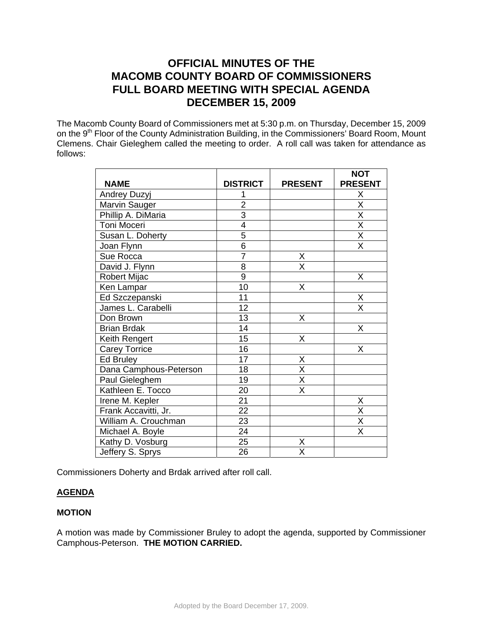# **OFFICIAL MINUTES OF THE MACOMB COUNTY BOARD OF COMMISSIONERS FULL BOARD MEETING WITH SPECIAL AGENDA DECEMBER 15, 2009**

The Macomb County Board of Commissioners met at 5:30 p.m. on Thursday, December 15, 2009 on the 9<sup>th</sup> Floor of the County Administration Building, in the Commissioners' Board Room, Mount Clemens. Chair Gieleghem called the meeting to order. A roll call was taken for attendance as follows:

|                        |                 |                         | <b>NOT</b>              |
|------------------------|-----------------|-------------------------|-------------------------|
| <b>NAME</b>            | <b>DISTRICT</b> | <b>PRESENT</b>          | <b>PRESENT</b>          |
| Andrey Duzyj           |                 |                         | Χ                       |
| Marvin Sauger          | $\overline{2}$  |                         | $\overline{\mathsf{x}}$ |
| Phillip A. DiMaria     | $\overline{3}$  |                         | $\overline{\mathsf{x}}$ |
| Toni Moceri            | $\overline{4}$  |                         | $\overline{\mathsf{x}}$ |
| Susan L. Doherty       | 5               |                         | $\overline{\mathsf{x}}$ |
| Joan Flynn             | $\overline{6}$  |                         | $\overline{\mathsf{x}}$ |
| Sue Rocca              | $\overline{7}$  | X                       |                         |
| David J. Flynn         | $\overline{8}$  | $\overline{\mathsf{x}}$ |                         |
| <b>Robert Mijac</b>    | $\overline{9}$  |                         | Χ                       |
| Ken Lampar             | 10              | X                       |                         |
| Ed Szczepanski         | 11              |                         | X                       |
| James L. Carabelli     | 12              |                         | Χ                       |
| Don Brown              | 13              | X                       |                         |
| <b>Brian Brdak</b>     | 14              |                         | X                       |
| Keith Rengert          | 15              | X                       |                         |
| <b>Carey Torrice</b>   | 16              |                         | X                       |
| <b>Ed Bruley</b>       | 17              | Χ                       |                         |
| Dana Camphous-Peterson | 18              | $\overline{\mathsf{x}}$ |                         |
| Paul Gieleghem         | 19              | $\overline{\mathsf{x}}$ |                         |
| Kathleen E. Tocco      | 20              | $\overline{\mathsf{x}}$ |                         |
| Irene M. Kepler        | 21              |                         | Χ                       |
| Frank Accavitti, Jr.   | $\overline{22}$ |                         | $\overline{\mathsf{x}}$ |
| William A. Crouchman   | 23              |                         | $\overline{\mathsf{x}}$ |
| Michael A. Boyle       | 24              |                         | X                       |
| Kathy D. Vosburg       | $\overline{25}$ | Χ                       |                         |
| Jeffery S. Sprys       | 26              | $\overline{\mathsf{x}}$ |                         |

Commissioners Doherty and Brdak arrived after roll call.

# **AGENDA**

# **MOTION**

A motion was made by Commissioner Bruley to adopt the agenda, supported by Commissioner Camphous-Peterson. **THE MOTION CARRIED.**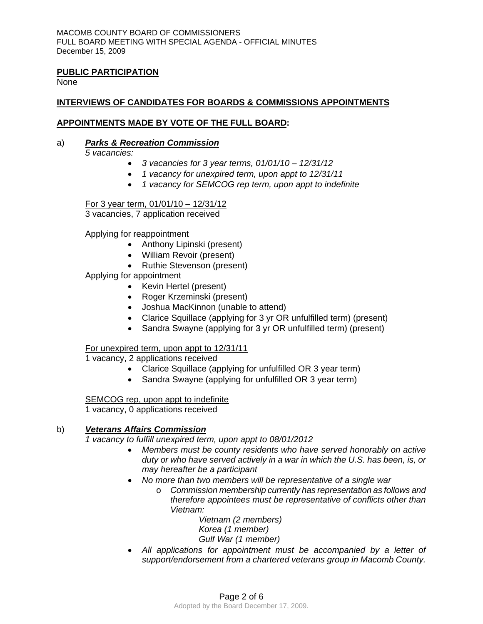## **PUBLIC PARTICIPATION**

None

# **INTERVIEWS OF CANDIDATES FOR BOARDS & COMMISSIONS APPOINTMENTS**

## **APPOINTMENTS MADE BY VOTE OF THE FULL BOARD:**

#### a)*Parks & Recreation Commission*

*5 vacancies:* 

- *3 vacancies for 3 year terms, 01/01/10 12/31/12*
- *1 vacancy for unexpired term, upon appt to 12/31/11*
- *1 vacancy for SEMCOG rep term, upon appt to indefinite*

For 3 year term, 01/01/10 – 12/31/12

3 vacancies, 7 application received

Applying for reappointment

- Anthony Lipinski (present)
- William Revoir (present)
- Ruthie Stevenson (present)
- Applying for appointment
	- Kevin Hertel (present)
	- Roger Krzeminski (present)
	- Joshua MacKinnon (unable to attend)
	- Clarice Squillace (applying for 3 yr OR unfulfilled term) (present)
	- Sandra Swayne (applying for 3 yr OR unfulfilled term) (present)

## For unexpired term, upon appt to 12/31/11

1 vacancy, 2 applications received

- Clarice Squillace (applying for unfulfilled OR 3 year term)
- Sandra Swayne (applying for unfulfilled OR 3 year term)

SEMCOG rep, upon appt to indefinite

1 vacancy, 0 applications received

#### b)*Veterans Affairs Commission*

*1 vacancy to fulfill unexpired term, upon appt to 08/01/2012* 

- *Members must be county residents who have served honorably on active duty or who have served actively in a war in which the U.S. has been, is, or may hereafter be a participant*
- *No more than two members will be representative of a single war* 
	- o *Commission membership currently has representation as follows and therefore appointees must be representative of conflicts other than Vietnam:*

*Vietnam (2 members) Korea (1 member) Gulf War (1 member)* 

• *All applications for appointment must be accompanied by a letter of support/endorsement from a chartered veterans group in Macomb County.*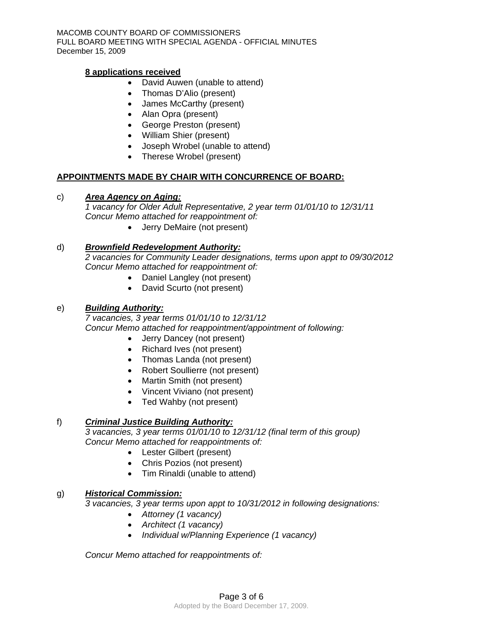## **8 applications received**

- David Auwen (unable to attend)
- Thomas D'Alio (present)
- James McCarthy (present)
- Alan Opra (present)
- George Preston (present)
- William Shier (present)
- Joseph Wrobel (unable to attend)
- Therese Wrobel (present)

## **APPOINTMENTS MADE BY CHAIR WITH CONCURRENCE OF BOARD:**

## c)*Area Agency on Aging:*

*1 vacancy for Older Adult Representative, 2 year term 01/01/10 to 12/31/11 Concur Memo attached for reappointment of:* 

• Jerry DeMaire (not present)

## d)*Brownfield Redevelopment Authority:*

*2 vacancies for Community Leader designations, terms upon appt to 09/30/2012 Concur Memo attached for reappointment of:* 

- Daniel Langley (not present)
- David Scurto (not present)

## e) *Building Authority:*

*7 vacancies, 3 year terms 01/01/10 to 12/31/12 Concur Memo attached for reappointment/appointment of following:* 

- Jerry Dancey (not present)
- Richard Ives (not present)
- Thomas Landa (not present)
- Robert Soullierre (not present)
- Martin Smith (not present)
- Vincent Viviano (not present)
- Ted Wahby (not present)

# f) *Criminal Justice Building Authority:*

*3 vacancies, 3 year terms 01/01/10 to 12/31/12 (final term of this group) Concur Memo attached for reappointments of:* 

- Lester Gilbert (present)
- Chris Pozios (not present)
- Tim Rinaldi (unable to attend)

# g) *Historical Commission:*

*3 vacancies, 3 year terms upon appt to 10/31/2012 in following designations:* 

- *Attorney (1 vacancy)*
- *Architect (1 vacancy)*
- *Individual w/Planning Experience (1 vacancy)*

*Concur Memo attached for reappointments of:*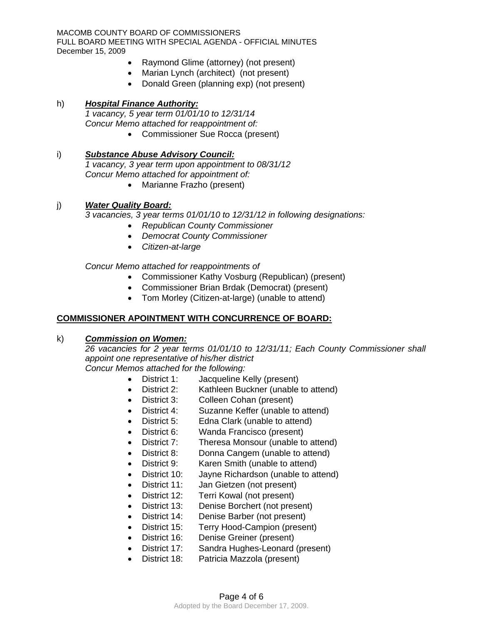- Raymond Glime (attorney) (not present)
- Marian Lynch (architect) (not present)
- Donald Green (planning exp) (not present)

## h) *Hospital Finance Authority:*

*1 vacancy, 5 year term 01/01/10 to 12/31/14 Concur Memo attached for reappointment of:* 

• Commissioner Sue Rocca (present)

## i) *Substance Abuse Advisory Council:*

*1 vacancy, 3 year term upon appointment to 08/31/12 Concur Memo attached for appointment of:* 

• Marianne Frazho (present)

## j) *Water Quality Board:*

*3 vacancies, 3 year terms 01/01/10 to 12/31/12 in following designations:* 

- *Republican County Commissioner*
- *Democrat County Commissioner*
- *Citizen-at-large*

## *Concur Memo attached for reappointments of*

- Commissioner Kathy Vosburg (Republican) (present)
- Commissioner Brian Brdak (Democrat) (present)
- Tom Morley (Citizen-at-large) (unable to attend)

# **COMMISSIONER APOINTMENT WITH CONCURRENCE OF BOARD:**

## k) *Commission on Women:*

*26 vacancies for 2 year terms 01/01/10 to 12/31/11; Each County Commissioner shall appoint one representative of his/her district Concur Memos attached for the following:* 

- District 1: Jacqueline Kelly (present)
- District 2: Kathleen Buckner (unable to attend)
- District 3: Colleen Cohan (present)
- District 4: Suzanne Keffer (unable to attend)
- District 5: Edna Clark (unable to attend)
- District 6: Wanda Francisco (present)
- District 7: Theresa Monsour (unable to attend)
- District 8: Donna Cangem (unable to attend)
- District 9: Karen Smith (unable to attend)
- District 10: Jayne Richardson (unable to attend)
- District 11: Jan Gietzen (not present)
- District 12: Terri Kowal (not present)
- District 13: Denise Borchert (not present)
- District 14: Denise Barber (not present)
- District 15: Terry Hood-Campion (present)
- District 16: Denise Greiner (present)
- District 17: Sandra Hughes-Leonard (present)
- District 18: Patricia Mazzola (present)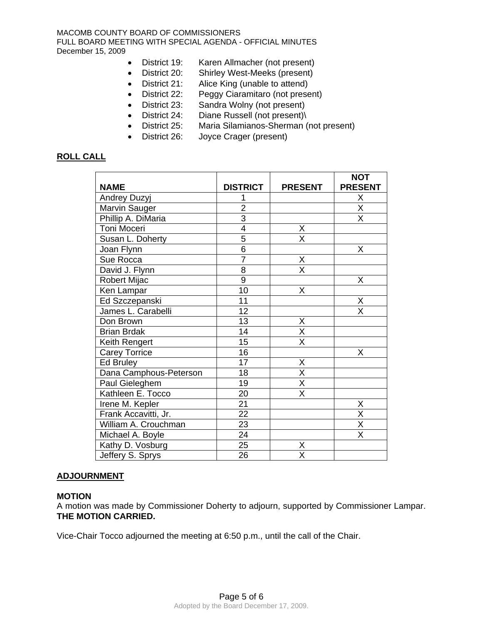- District 19: Karen Allmacher (not present)
- District 20: Shirley West-Meeks (present)
- District 21: Alice King (unable to attend)
- District 22: Peggy Ciaramitaro (not present)
- District 23: Sandra Wolny (not present)
- District 24: Diane Russell (not present)\
- District 25: Maria Silamianos-Sherman (not present)
- District 26: Joyce Crager (present)

## **ROLL CALL**

|                        |                 |                         | <b>NOT</b>              |
|------------------------|-----------------|-------------------------|-------------------------|
| <b>NAME</b>            | <b>DISTRICT</b> | <b>PRESENT</b>          | <b>PRESENT</b>          |
| Andrey Duzyj           |                 |                         | Χ                       |
| Marvin Sauger          | $\overline{2}$  |                         | $\overline{\mathsf{x}}$ |
| Phillip A. DiMaria     | $\overline{3}$  |                         | X                       |
| Toni Moceri            | 4               | Χ                       |                         |
| Susan L. Doherty       | 5               | X                       |                         |
| Joan Flynn             | 6               |                         | X                       |
| Sue Rocca              | $\overline{7}$  | Χ                       |                         |
| David J. Flynn         | 8               | $\overline{\mathsf{x}}$ |                         |
| <b>Robert Mijac</b>    | 9               |                         | X                       |
| Ken Lampar             | 10              | X                       |                         |
| Ed Szczepanski         | 11              |                         | Χ                       |
| James L. Carabelli     | 12              |                         | X                       |
| Don Brown              | 13              | Χ                       |                         |
| <b>Brian Brdak</b>     | 14              | $\overline{\mathsf{x}}$ |                         |
| Keith Rengert          | 15              | X                       |                         |
| <b>Carey Torrice</b>   | 16              |                         | X                       |
| Ed Bruley              | 17              | Χ                       |                         |
| Dana Camphous-Peterson | 18              | $\overline{\mathsf{x}}$ |                         |
| Paul Gieleghem         | 19              | $\overline{\mathsf{x}}$ |                         |
| Kathleen E. Tocco      | 20              | X                       |                         |
| Irene M. Kepler        | 21              |                         | Χ                       |
| Frank Accavitti, Jr.   | $\overline{22}$ |                         | X                       |
| William A. Crouchman   | 23              |                         | $\overline{\mathsf{x}}$ |
| Michael A. Boyle       | $\overline{24}$ |                         | $\overline{\mathsf{x}}$ |
| Kathy D. Vosburg       | 25              | Χ                       |                         |
| Jeffery S. Sprys       | 26              | $\overline{\mathsf{x}}$ |                         |

#### **ADJOURNMENT**

#### **MOTION**

A motion was made by Commissioner Doherty to adjourn, supported by Commissioner Lampar. **THE MOTION CARRIED.** 

Vice-Chair Tocco adjourned the meeting at 6:50 p.m., until the call of the Chair.